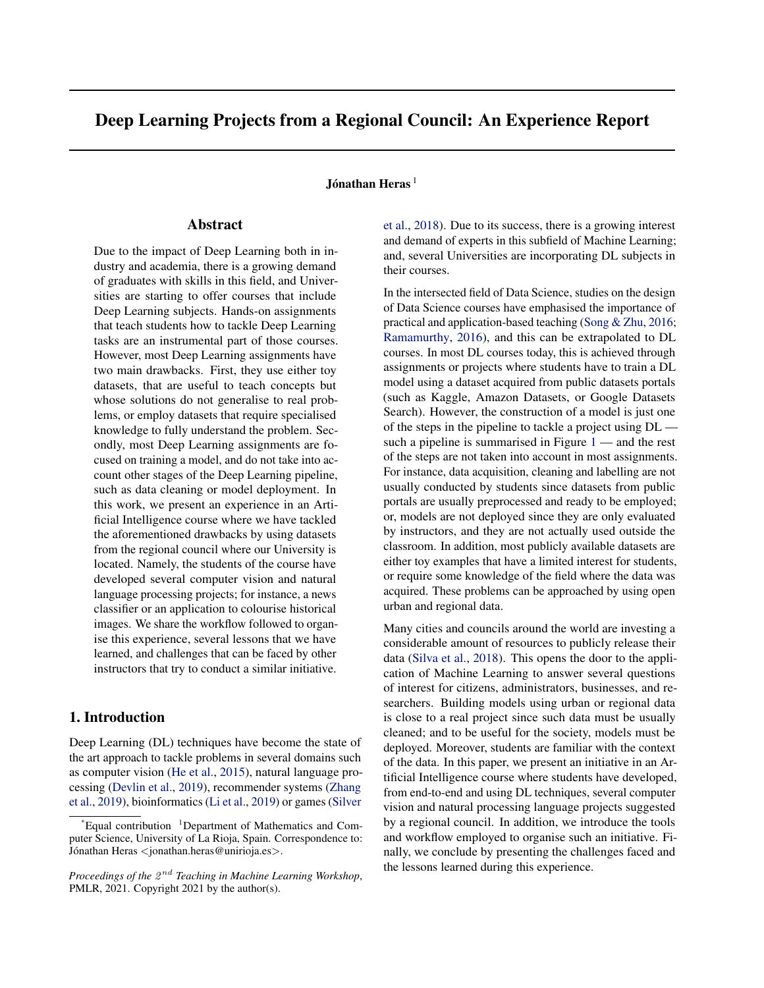# Deep Learning Projects from a Regional Council: An Experience Report

### Jónathan Heras $^{\rm l}$

# Abstract

Due to the impact of Deep Learning both in industry and academia, there is a growing demand of graduates with skills in this field, and Universities are starting to offer courses that include Deep Learning subjects. Hands-on assignments that teach students how to tackle Deep Learning tasks are an instrumental part of those courses. However, most Deep Learning assignments have two main drawbacks. First, they use either toy datasets, that are useful to teach concepts but whose solutions do not generalise to real problems, or employ datasets that require specialised knowledge to fully understand the problem. Secondly, most Deep Learning assignments are focused on training a model, and do not take into account other stages of the Deep Learning pipeline, such as data cleaning or model deployment. In this work, we present an experience in an Artificial Intelligence course where we have tackled the aforementioned drawbacks by using datasets from the regional council where our University is located. Namely, the students of the course have developed several computer vision and natural language processing projects; for instance, a news classifier or an application to colourise historical images. We share the workflow followed to organise this experience, several lessons that we have learned, and challenges that can be faced by other instructors that try to conduct a similar initiative.

## 1. Introduction

Deep Learning (DL) techniques have become the state of the art approach to tackle problems in several domains such as computer vision [\(He et al.,](#page-4-0) [2015\)](#page-4-0), natural language processing [\(Devlin et al.,](#page-4-0) [2019\)](#page-4-0), recommender systems [\(Zhang](#page-4-0) [et al.,](#page-4-0) [2019\)](#page-4-0), bioinformatics [\(Li et al.,](#page-4-0) [2019\)](#page-4-0) or games [\(Silver](#page-4-0)

[et al.,](#page-4-0) [2018\)](#page-4-0). Due to its success, there is a growing interest and demand of experts in this subfield of Machine Learning; and, several Universities are incorporating DL subjects in their courses.

In the intersected field of Data Science, studies on the design of Data Science courses have emphasised the importance of practical and application-based teaching [\(Song & Zhu,](#page-4-0) [2016;](#page-4-0) [Ramamurthy,](#page-4-0) [2016\)](#page-4-0), and this can be extrapolated to DL courses. In most DL courses today, this is achieved through assignments or projects where students have to train a DL model using a dataset acquired from public datasets portals (such as Kaggle, Amazon Datasets, or Google Datasets Search). However, the construction of a model is just one of the steps in the pipeline to tackle a project using DL such a pipeline is summarised in Figure  $1$  — and the rest of the steps are not taken into account in most assignments. For instance, data acquisition, cleaning and labelling are not usually conducted by students since datasets from public portals are usually preprocessed and ready to be employed; or, models are not deployed since they are only evaluated by instructors, and they are not actually used outside the classroom. In addition, most publicly available datasets are either toy examples that have a limited interest for students, or require some knowledge of the field where the data was acquired. These problems can be approached by using open urban and regional data.

Many cities and councils around the world are investing a considerable amount of resources to publicly release their data [\(Silva et al.,](#page-4-0) [2018\)](#page-4-0). This opens the door to the application of Machine Learning to answer several questions of interest for citizens, administrators, businesses, and researchers. Building models using urban or regional data is close to a real project since such data must be usually cleaned; and to be useful for the society, models must be deployed. Moreover, students are familiar with the context of the data. In this paper, we present an initiative in an Artificial Intelligence course where students have developed, from end-to-end and using DL techniques, several computer vision and natural processing language projects suggested by a regional council. In addition, we introduce the tools and workflow employed to organise such an initiative. Finally, we conclude by presenting the challenges faced and the lessons learned during this experience.

 $E$ qual contribution  $1$ [Department of Mathematics and Com](#page-4-0)[puter Science, University of La Rioja, Spain. Correspondence to:](#page-4-0) Jónathan Heras <[jonathan.heras@unirioja.es](#page-4-0)>.

Proceedings of the  $2^{nd}$  [Teaching in Machine Learning Workshop](#page-4-0), [PMLR, 2021. Copyright 2021 by the author\(s\).](#page-4-0)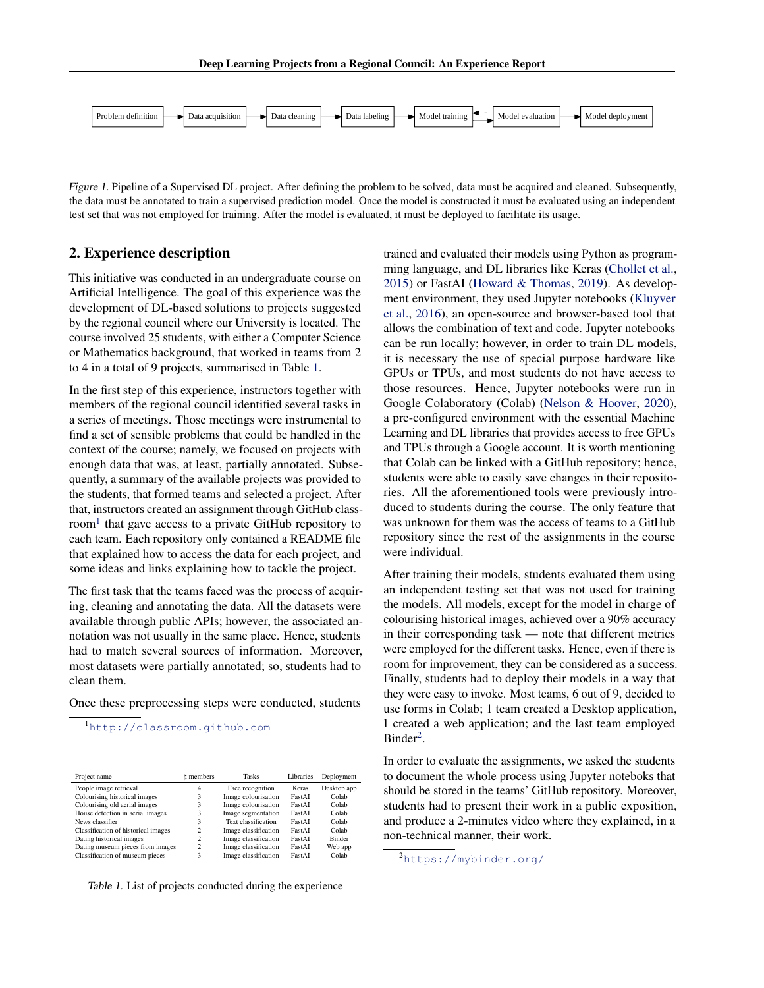<span id="page-1-0"></span>

Figure 1. Pipeline of a Supervised DL project. After defining the problem to be solved, data must be acquired and cleaned. Subsequently, the data must be annotated to train a supervised prediction model. Once the model is constructed it must be evaluated using an independent test set that was not employed for training. After the model is evaluated, it must be deployed to facilitate its usage.

# 2. Experience description

This initiative was conducted in an undergraduate course on Artificial Intelligence. The goal of this experience was the development of DL-based solutions to projects suggested by the regional council where our University is located. The course involved 25 students, with either a Computer Science or Mathematics background, that worked in teams from 2 to 4 in a total of 9 projects, summarised in Table 1.

In the first step of this experience, instructors together with members of the regional council identified several tasks in a series of meetings. Those meetings were instrumental to find a set of sensible problems that could be handled in the context of the course; namely, we focused on projects with enough data that was, at least, partially annotated. Subsequently, a summary of the available projects was provided to the students, that formed teams and selected a project. After that, instructors created an assignment through GitHub classroom<sup>1</sup> that gave access to a private GitHub repository to each team. Each repository only contained a README file that explained how to access the data for each project, and some ideas and links explaining how to tackle the project.

The first task that the teams faced was the process of acquiring, cleaning and annotating the data. All the datasets were available through public APIs; however, the associated annotation was not usually in the same place. Hence, students had to match several sources of information. Moreover, most datasets were partially annotated; so, students had to clean them.

Once these preprocessing steps were conducted, students

<sup>1</sup><http://classroom.github.com>

| Project name                        | t members | <b>Tasks</b>         | Libraries | Deployment    |
|-------------------------------------|-----------|----------------------|-----------|---------------|
| People image retrieval              | 4         | Face recognition     | Keras     | Desktop app   |
| Colourising historical images       | 3         | Image colourisation  | FastAI    | Colab         |
| Colourising old aerial images       | 3         | Image colourisation  | FastAI    | Colab         |
| House detection in aerial images    | 3         | Image segmentation   | FastAI    | Colab         |
| News classifier                     | 3         | Text classification  | FastAI    | Colab         |
| Classification of historical images | 2         | Image classification | FastAI    | Colab         |
| Dating historical images            | 2         | Image classification | FastAI    | <b>Binder</b> |
| Dating museum pieces from images    | 2         | Image classification | FastAI    | Web app       |
| Classification of museum pieces     | 3         | Image classification | FastAI    | Colab         |

Table 1. List of projects conducted during the experience

trained and evaluated their models using Python as programming language, and DL libraries like Keras [\(Chollet et al.,](#page-4-0) [2015\)](#page-4-0) or FastAI [\(Howard & Thomas,](#page-4-0) [2019\)](#page-4-0). As development environment, they used Jupyter notebooks [\(Kluyver](#page-4-0) [et al.,](#page-4-0) [2016\)](#page-4-0), an open-source and browser-based tool that allows the combination of text and code. Jupyter notebooks can be run locally; however, in order to train DL models, it is necessary the use of special purpose hardware like GPUs or TPUs, and most students do not have access to those resources. Hence, Jupyter notebooks were run in Google Colaboratory (Colab) [\(Nelson & Hoover,](#page-4-0) [2020\)](#page-4-0), a pre-configured environment with the essential Machine Learning and DL libraries that provides access to free GPUs and TPUs through a Google account. It is worth mentioning that Colab can be linked with a GitHub repository; hence, students were able to easily save changes in their repositories. All the aforementioned tools were previously introduced to students during the course. The only feature that was unknown for them was the access of teams to a GitHub repository since the rest of the assignments in the course were individual.

After training their models, students evaluated them using an independent testing set that was not used for training the models. All models, except for the model in charge of colourising historical images, achieved over a 90% accuracy in their corresponding task — note that different metrics were employed for the different tasks. Hence, even if there is room for improvement, they can be considered as a success. Finally, students had to deploy their models in a way that they were easy to invoke. Most teams, 6 out of 9, decided to use forms in Colab; 1 team created a Desktop application, 1 created a web application; and the last team employed Binder<sup>2</sup>.

In order to evaluate the assignments, we asked the students to document the whole process using Jupyter noteboks that should be stored in the teams' GitHub repository. Moreover, students had to present their work in a public exposition, and produce a 2-minutes video where they explained, in a non-technical manner, their work.

<sup>2</sup><https://mybinder.org/>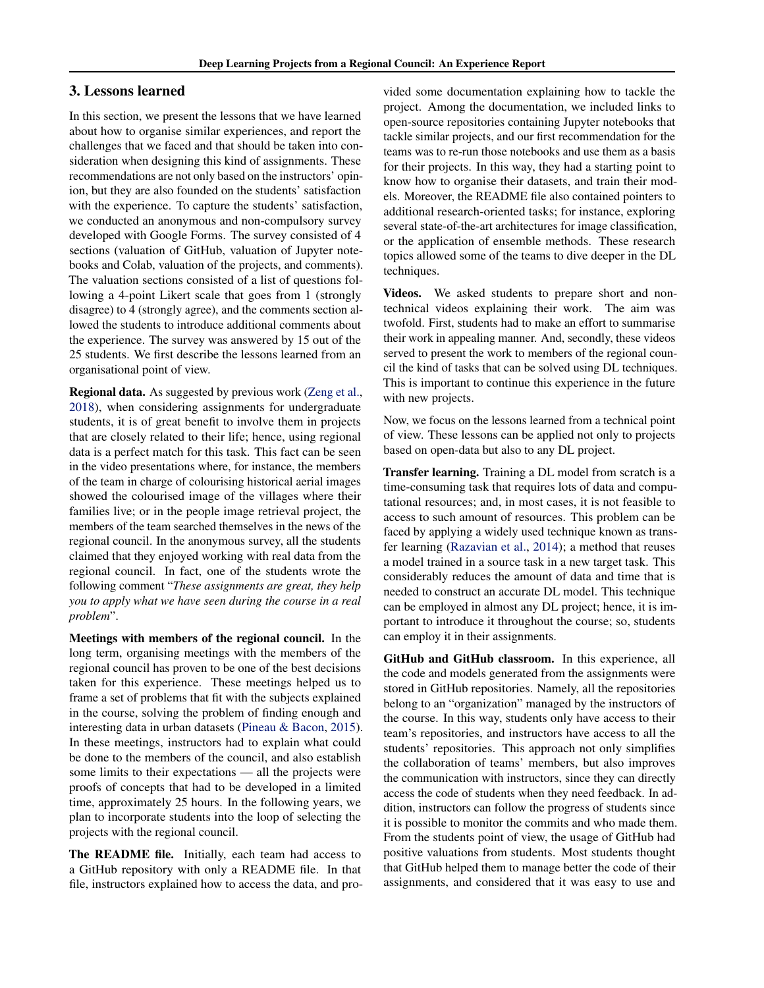### 3. Lessons learned

In this section, we present the lessons that we have learned about how to organise similar experiences, and report the challenges that we faced and that should be taken into consideration when designing this kind of assignments. These recommendations are not only based on the instructors' opinion, but they are also founded on the students' satisfaction with the experience. To capture the students' satisfaction, we conducted an anonymous and non-compulsory survey developed with Google Forms. The survey consisted of 4 sections (valuation of GitHub, valuation of Jupyter notebooks and Colab, valuation of the projects, and comments). The valuation sections consisted of a list of questions following a 4-point Likert scale that goes from 1 (strongly disagree) to 4 (strongly agree), and the comments section allowed the students to introduce additional comments about the experience. The survey was answered by 15 out of the 25 students. We first describe the lessons learned from an organisational point of view.

Regional data. As suggested by previous work [\(Zeng et al.,](#page-4-0) [2018\)](#page-4-0), when considering assignments for undergraduate students, it is of great benefit to involve them in projects that are closely related to their life; hence, using regional data is a perfect match for this task. This fact can be seen in the video presentations where, for instance, the members of the team in charge of colourising historical aerial images showed the colourised image of the villages where their families live; or in the people image retrieval project, the members of the team searched themselves in the news of the regional council. In the anonymous survey, all the students claimed that they enjoyed working with real data from the regional council. In fact, one of the students wrote the following comment "*These assignments are great, they help you to apply what we have seen during the course in a real problem*".

Meetings with members of the regional council. In the long term, organising meetings with the members of the regional council has proven to be one of the best decisions taken for this experience. These meetings helped us to frame a set of problems that fit with the subjects explained in the course, solving the problem of finding enough and interesting data in urban datasets [\(Pineau & Bacon,](#page-4-0) [2015\)](#page-4-0). In these meetings, instructors had to explain what could be done to the members of the council, and also establish some limits to their expectations — all the projects were proofs of concepts that had to be developed in a limited time, approximately 25 hours. In the following years, we plan to incorporate students into the loop of selecting the projects with the regional council.

The README file. Initially, each team had access to a GitHub repository with only a README file. In that file, instructors explained how to access the data, and provided some documentation explaining how to tackle the project. Among the documentation, we included links to open-source repositories containing Jupyter notebooks that tackle similar projects, and our first recommendation for the teams was to re-run those notebooks and use them as a basis for their projects. In this way, they had a starting point to know how to organise their datasets, and train their models. Moreover, the README file also contained pointers to additional research-oriented tasks; for instance, exploring several state-of-the-art architectures for image classification, or the application of ensemble methods. These research topics allowed some of the teams to dive deeper in the DL techniques.

Videos. We asked students to prepare short and nontechnical videos explaining their work. The aim was twofold. First, students had to make an effort to summarise their work in appealing manner. And, secondly, these videos served to present the work to members of the regional council the kind of tasks that can be solved using DL techniques. This is important to continue this experience in the future with new projects.

Now, we focus on the lessons learned from a technical point of view. These lessons can be applied not only to projects based on open-data but also to any DL project.

Transfer learning. Training a DL model from scratch is a time-consuming task that requires lots of data and computational resources; and, in most cases, it is not feasible to access to such amount of resources. This problem can be faced by applying a widely used technique known as transfer learning [\(Razavian et al.,](#page-4-0) [2014\)](#page-4-0); a method that reuses a model trained in a source task in a new target task. This considerably reduces the amount of data and time that is needed to construct an accurate DL model. This technique can be employed in almost any DL project; hence, it is important to introduce it throughout the course; so, students can employ it in their assignments.

GitHub and GitHub classroom. In this experience, all the code and models generated from the assignments were stored in GitHub repositories. Namely, all the repositories belong to an "organization" managed by the instructors of the course. In this way, students only have access to their team's repositories, and instructors have access to all the students' repositories. This approach not only simplifies the collaboration of teams' members, but also improves the communication with instructors, since they can directly access the code of students when they need feedback. In addition, instructors can follow the progress of students since it is possible to monitor the commits and who made them. From the students point of view, the usage of GitHub had positive valuations from students. Most students thought that GitHub helped them to manage better the code of their assignments, and considered that it was easy to use and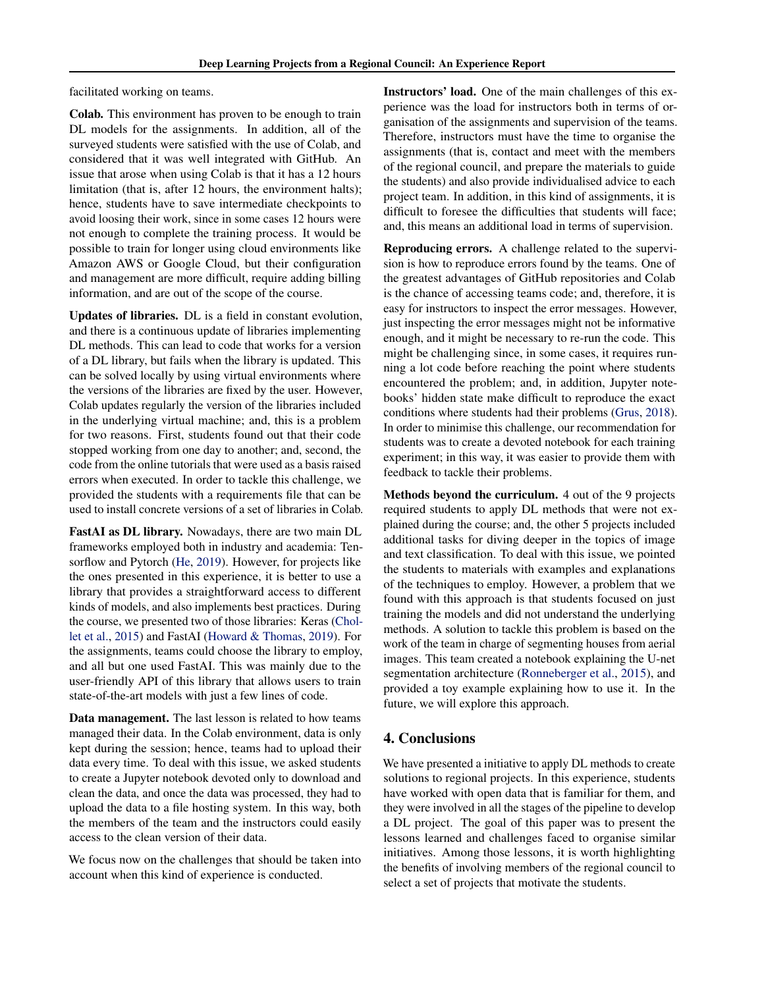facilitated working on teams.

Colab. This environment has proven to be enough to train DL models for the assignments. In addition, all of the surveyed students were satisfied with the use of Colab, and considered that it was well integrated with GitHub. An issue that arose when using Colab is that it has a 12 hours limitation (that is, after 12 hours, the environment halts); hence, students have to save intermediate checkpoints to avoid loosing their work, since in some cases 12 hours were not enough to complete the training process. It would be possible to train for longer using cloud environments like Amazon AWS or Google Cloud, but their configuration and management are more difficult, require adding billing information, and are out of the scope of the course.

Updates of libraries. DL is a field in constant evolution, and there is a continuous update of libraries implementing DL methods. This can lead to code that works for a version of a DL library, but fails when the library is updated. This can be solved locally by using virtual environments where the versions of the libraries are fixed by the user. However, Colab updates regularly the version of the libraries included in the underlying virtual machine; and, this is a problem for two reasons. First, students found out that their code stopped working from one day to another; and, second, the code from the online tutorials that were used as a basis raised errors when executed. In order to tackle this challenge, we provided the students with a requirements file that can be used to install concrete versions of a set of libraries in Colab.

FastAI as DL library. Nowadays, there are two main DL frameworks employed both in industry and academia: Tensorflow and Pytorch [\(He,](#page-4-0) [2019\)](#page-4-0). However, for projects like the ones presented in this experience, it is better to use a library that provides a straightforward access to different kinds of models, and also implements best practices. During the course, we presented two of those libraries: Keras [\(Chol](#page-4-0)[let et al.,](#page-4-0) [2015\)](#page-4-0) and FastAI [\(Howard & Thomas,](#page-4-0) [2019\)](#page-4-0). For the assignments, teams could choose the library to employ, and all but one used FastAI. This was mainly due to the user-friendly API of this library that allows users to train state-of-the-art models with just a few lines of code.

Data management. The last lesson is related to how teams managed their data. In the Colab environment, data is only kept during the session; hence, teams had to upload their data every time. To deal with this issue, we asked students to create a Jupyter notebook devoted only to download and clean the data, and once the data was processed, they had to upload the data to a file hosting system. In this way, both the members of the team and the instructors could easily access to the clean version of their data.

We focus now on the challenges that should be taken into account when this kind of experience is conducted.

Instructors' load. One of the main challenges of this experience was the load for instructors both in terms of organisation of the assignments and supervision of the teams. Therefore, instructors must have the time to organise the assignments (that is, contact and meet with the members of the regional council, and prepare the materials to guide the students) and also provide individualised advice to each project team. In addition, in this kind of assignments, it is difficult to foresee the difficulties that students will face; and, this means an additional load in terms of supervision.

Reproducing errors. A challenge related to the supervision is how to reproduce errors found by the teams. One of the greatest advantages of GitHub repositories and Colab is the chance of accessing teams code; and, therefore, it is easy for instructors to inspect the error messages. However, just inspecting the error messages might not be informative enough, and it might be necessary to re-run the code. This might be challenging since, in some cases, it requires running a lot code before reaching the point where students encountered the problem; and, in addition, Jupyter notebooks' hidden state make difficult to reproduce the exact conditions where students had their problems [\(Grus,](#page-4-0) [2018\)](#page-4-0). In order to minimise this challenge, our recommendation for students was to create a devoted notebook for each training experiment; in this way, it was easier to provide them with feedback to tackle their problems.

Methods beyond the curriculum. 4 out of the 9 projects required students to apply DL methods that were not explained during the course; and, the other 5 projects included additional tasks for diving deeper in the topics of image and text classification. To deal with this issue, we pointed the students to materials with examples and explanations of the techniques to employ. However, a problem that we found with this approach is that students focused on just training the models and did not understand the underlying methods. A solution to tackle this problem is based on the work of the team in charge of segmenting houses from aerial images. This team created a notebook explaining the U-net segmentation architecture [\(Ronneberger et al.,](#page-4-0) [2015\)](#page-4-0), and provided a toy example explaining how to use it. In the future, we will explore this approach.

## 4. Conclusions

We have presented a initiative to apply DL methods to create solutions to regional projects. In this experience, students have worked with open data that is familiar for them, and they were involved in all the stages of the pipeline to develop a DL project. The goal of this paper was to present the lessons learned and challenges faced to organise similar initiatives. Among those lessons, it is worth highlighting the benefits of involving members of the regional council to select a set of projects that motivate the students.